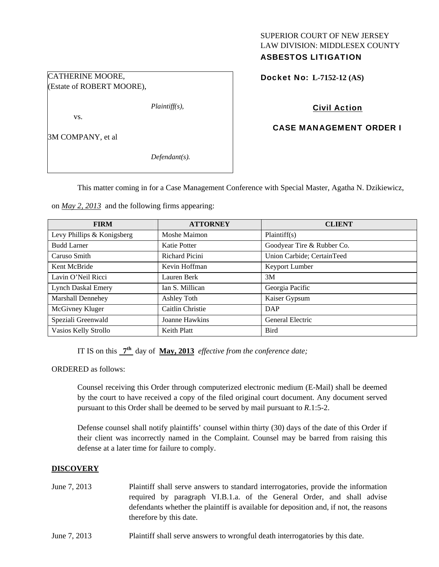## SUPERIOR COURT OF NEW JERSEY LAW DIVISION: MIDDLESEX COUNTY ASBESTOS LITIGATION

Docket No: **L-7152-12 (AS)** 

# Civil Action

# CASE MANAGEMENT ORDER I

(Estate of ROBERT MOORE),

CATHERINE MOORE,

*Plaintiff(s),* 

vs.

3M COMPANY, et al

*Defendant(s).* 

This matter coming in for a Case Management Conference with Special Master, Agatha N. Dzikiewicz,

on *May 2, 2013* and the following firms appearing:

| <b>FIRM</b>                | <b>ATTORNEY</b>  | <b>CLIENT</b>              |
|----------------------------|------------------|----------------------------|
| Levy Phillips & Konigsberg | Moshe Maimon     | Plaintiff(s)               |
| <b>Budd Larner</b>         | Katie Potter     | Goodyear Tire & Rubber Co. |
| Caruso Smith               | Richard Picini   | Union Carbide; CertainTeed |
| Kent McBride               | Kevin Hoffman    | Keyport Lumber             |
| Lavin O'Neil Ricci         | Lauren Berk      | 3M                         |
| <b>Lynch Daskal Emery</b>  | Ian S. Millican  | Georgia Pacific            |
| <b>Marshall Dennehey</b>   | Ashley Toth      | Kaiser Gypsum              |
| McGivney Kluger            | Caitlin Christie | DAP                        |
| Speziali Greenwald         | Joanne Hawkins   | General Electric           |
| Vasios Kelly Strollo       | Keith Platt      | <b>Bird</b>                |

IT IS on this **7th** day of **May, 2013** *effective from the conference date;*

ORDERED as follows:

Counsel receiving this Order through computerized electronic medium (E-Mail) shall be deemed by the court to have received a copy of the filed original court document. Any document served pursuant to this Order shall be deemed to be served by mail pursuant to *R*.1:5-2.

Defense counsel shall notify plaintiffs' counsel within thirty (30) days of the date of this Order if their client was incorrectly named in the Complaint. Counsel may be barred from raising this defense at a later time for failure to comply.

# **DISCOVERY**

- June 7, 2013 Plaintiff shall serve answers to standard interrogatories, provide the information required by paragraph VI.B.1.a. of the General Order, and shall advise defendants whether the plaintiff is available for deposition and, if not, the reasons therefore by this date.
- June 7, 2013 Plaintiff shall serve answers to wrongful death interrogatories by this date.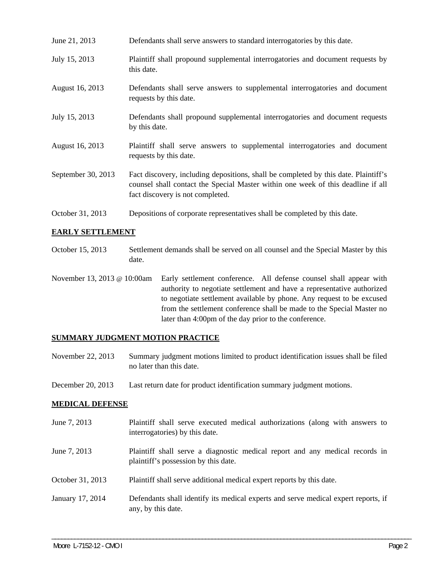- June 21, 2013 Defendants shall serve answers to standard interrogatories by this date.
- July 15, 2013 Plaintiff shall propound supplemental interrogatories and document requests by this date.
- August 16, 2013 Defendants shall serve answers to supplemental interrogatories and document requests by this date.
- July 15, 2013 Defendants shall propound supplemental interrogatories and document requests by this date.
- August 16, 2013 Plaintiff shall serve answers to supplemental interrogatories and document requests by this date.
- September 30, 2013 Fact discovery, including depositions, shall be completed by this date. Plaintiff's counsel shall contact the Special Master within one week of this deadline if all fact discovery is not completed.
- October 31, 2013 Depositions of corporate representatives shall be completed by this date.

### **EARLY SETTLEMENT**

- October 15, 2013 Settlement demands shall be served on all counsel and the Special Master by this date.
- November 13, 2013 @ 10:00am Early settlement conference. All defense counsel shall appear with authority to negotiate settlement and have a representative authorized to negotiate settlement available by phone. Any request to be excused from the settlement conference shall be made to the Special Master no later than 4:00pm of the day prior to the conference.

#### **SUMMARY JUDGMENT MOTION PRACTICE**

- November 22, 2013 Summary judgment motions limited to product identification issues shall be filed no later than this date.
- December 20, 2013 Last return date for product identification summary judgment motions.

#### **MEDICAL DEFENSE**

June 7, 2013 Plaintiff shall serve executed medical authorizations (along with answers to interrogatories) by this date. June 7, 2013 Plaintiff shall serve a diagnostic medical report and any medical records in plaintiff's possession by this date. October 31, 2013 Plaintiff shall serve additional medical expert reports by this date. January 17, 2014 Defendants shall identify its medical experts and serve medical expert reports, if any, by this date.

\_\_\_\_\_\_\_\_\_\_\_\_\_\_\_\_\_\_\_\_\_\_\_\_\_\_\_\_\_\_\_\_\_\_\_\_\_\_\_\_\_\_\_\_\_\_\_\_\_\_\_\_\_\_\_\_\_\_\_\_\_\_\_\_\_\_\_\_\_\_\_\_\_\_\_\_\_\_\_\_\_\_\_\_\_\_\_\_\_\_\_\_\_\_\_\_\_\_\_\_\_\_\_\_\_\_\_\_\_\_